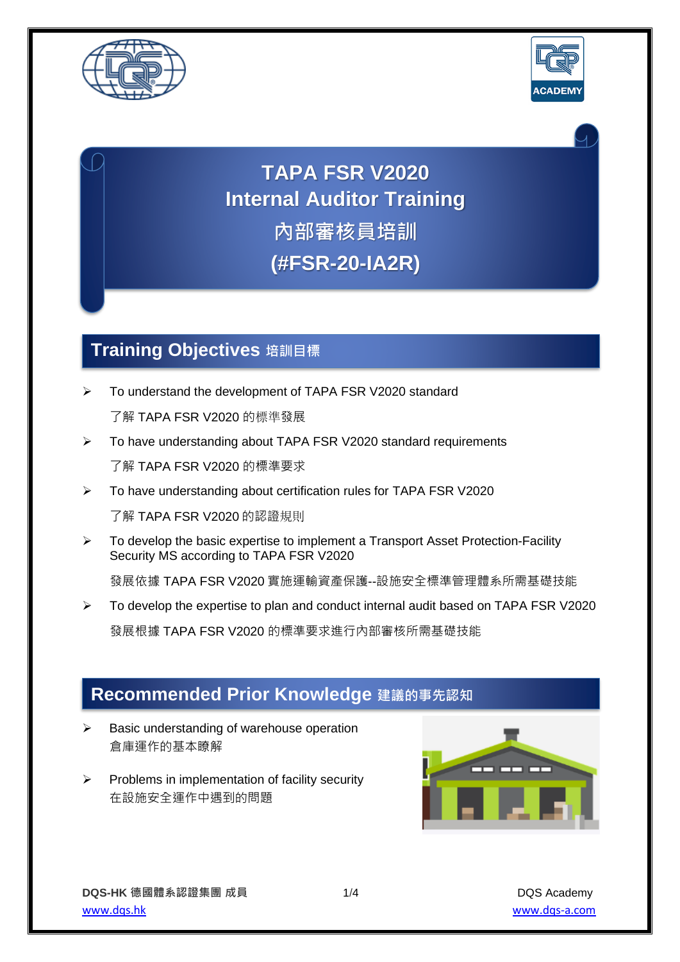



**TAPA FSR V2020 Internal Auditor Training 內部審核員培訓**

**(#FSR-20-IA2R)**

# **Training Objectives 培訓目標**

➢ To understand the development of TAPA FSR V2020 standard

了解 TAPA FSR V2020 的標準發展

- ➢ To have understanding about TAPA FSR V2020 standard requirements 了解 TAPA FSR V2020 的標準要求
- ➢ To have understanding about certification rules for TAPA FSR V2020 了解 TAPA FSR V2020 的認證規則
- $\triangleright$  To develop the basic expertise to implement a Transport Asset Protection-Facility Security MS according to TAPA FSR V2020

發展依據 TAPA FSR V2020 實施運輸資產保護--設施安全標準管理體系所需基礎技能

➢ To develop the expertise to plan and conduct internal audit based on TAPA FSR V2020

發展根據 TAPA FSR V2020 的標準要求進行內部審核所需基礎技能

# **Recommended Prior Knowledge 建議的事先認知**

- ➢ Basic understanding of warehouse operation 倉庫運作的基本瞭解
- ➢ Problems in implementation of facility security 在設施安全運作中遇到的問題

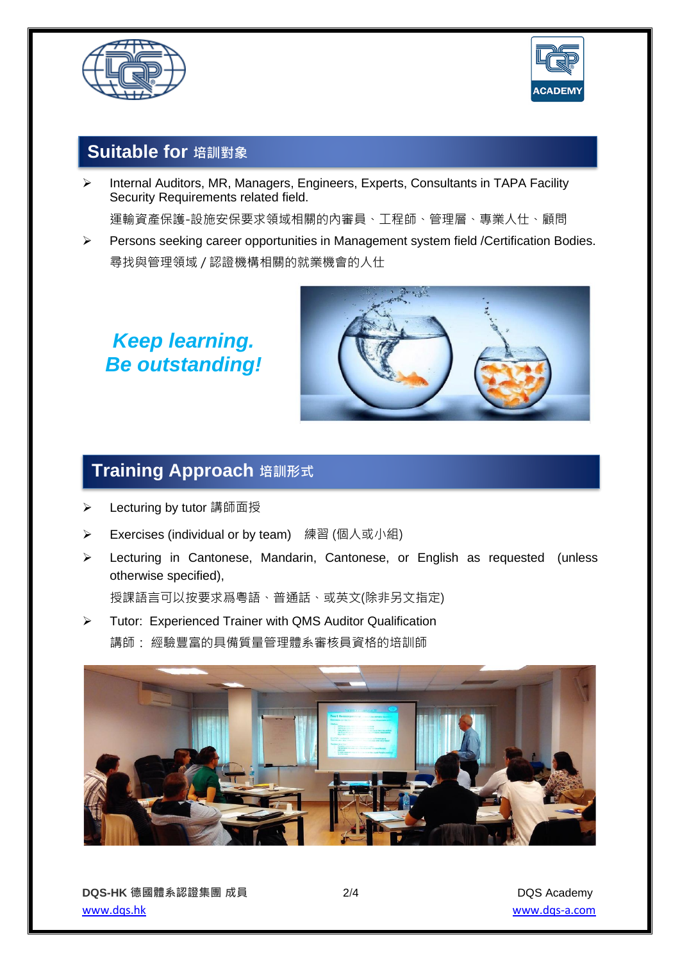



## **Suitable for 培訓對象**

➢ Internal Auditors, MR, Managers, Engineers, Experts, Consultants in TAPA Facility Security Requirements related field.

運輸資產保護-設施安保要求領域相關的內審員、工程師、管理層、專業人仕、顧問

➢ Persons seeking career opportunities in Management system field /Certification Bodies. 尋找與管理領域 / 認證機構相關的就業機會的人仕

# *Keep learning. Be outstanding!*



# **Training Approach 培訓形式**

- ➢ Lecturing by tutor 講師面授
- **▶ Exercises (individual or by team)** 練習 (個人或小組)
- ➢ Lecturing in Cantonese, Mandarin, Cantonese, or English as requested (unless otherwise specified),

授課語言可以按要求爲粵語、普通話、或英文(除非另文指定)

➢ Tutor: Experienced Trainer with QMS Auditor Qualification 講師: 經驗豐富的具備質量管理體系審核員資格的培訓師

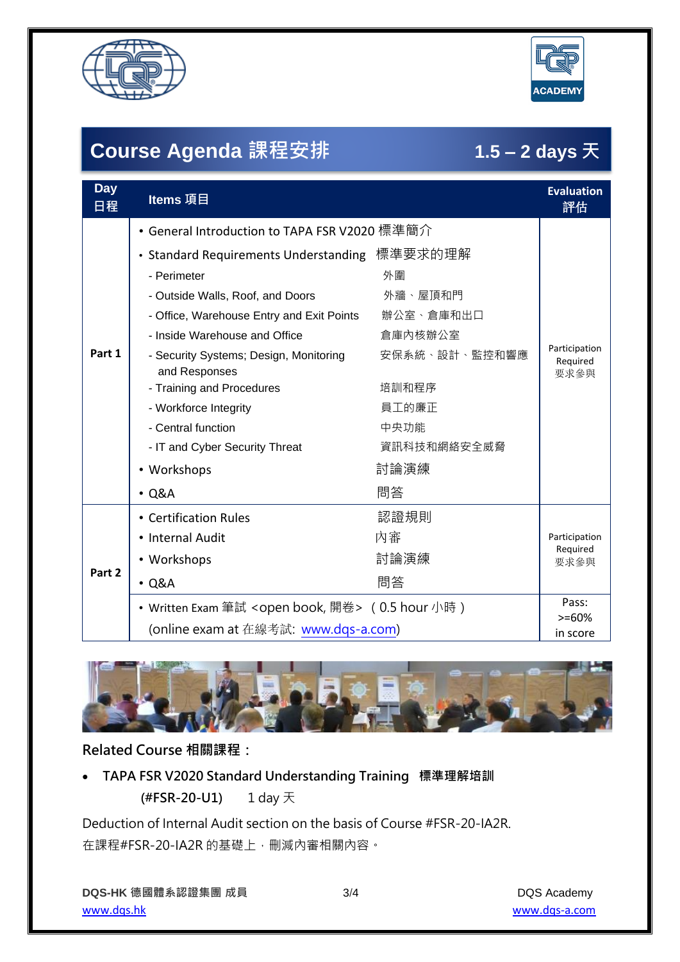



# **Course Agenda 課程安排 1.5 – 2 days 天**

| <b>Day</b><br>日程 | Items 項目                                                     |               | <b>Evaluation</b><br>評估           |
|------------------|--------------------------------------------------------------|---------------|-----------------------------------|
| Part 1           | • General Introduction to TAPA FSR V2020 標準簡介                |               |                                   |
|                  | • Standard Requirements Understanding 標準要求的理解                |               | Participation<br>Required<br>要求參與 |
|                  | - Perimeter                                                  | 外圍            |                                   |
|                  | - Outside Walls, Roof, and Doors                             | 外牆、屋頂和門       |                                   |
|                  | - Office, Warehouse Entry and Exit Points                    | 辦公室、倉庫和出口     |                                   |
|                  | - Inside Warehouse and Office                                | 倉庫內核辦公室       |                                   |
|                  | - Security Systems; Design, Monitoring<br>and Responses      | 安保系統、設計、監控和響應 |                                   |
|                  | - Training and Procedures                                    | 培訓和程序         |                                   |
|                  | - Workforce Integrity                                        | 員工的廉正         |                                   |
|                  | - Central function                                           | 中央功能          |                                   |
|                  | - IT and Cyber Security Threat                               | 資訊科技和網絡安全威脅   |                                   |
|                  | • Workshops                                                  | 討論演練          |                                   |
|                  | $\cdot$ Q&A                                                  | 問答            |                                   |
| Part 2           | • Certification Rules                                        | 認證規則          | Participation<br>Required<br>要求參與 |
|                  | • Internal Audit                                             | 内審            |                                   |
|                  | • Workshops                                                  | 討論演練          |                                   |
|                  | $\cdot$ Q&A                                                  | 問答            |                                   |
|                  | • Written Exam 筆試 <open book,="" 開卷=""> (0.5 hour 小時)</open> |               | Pass:                             |
|                  | (online exam at 在線考試: www.dqs-a.com)                         |               | $>= 60%$<br>in score              |



### **Related Course 相關課程:**

• **TAPA FSR V2020 Standard Understanding Training 標準理解培訓 (#FSR-20-U1)** 1 day 天

Deduction of Internal Audit section on the basis of Course #FSR-20-IA2R. 在課程#FSR-20-IA2R 的基礎上,刪減內審相關內容。